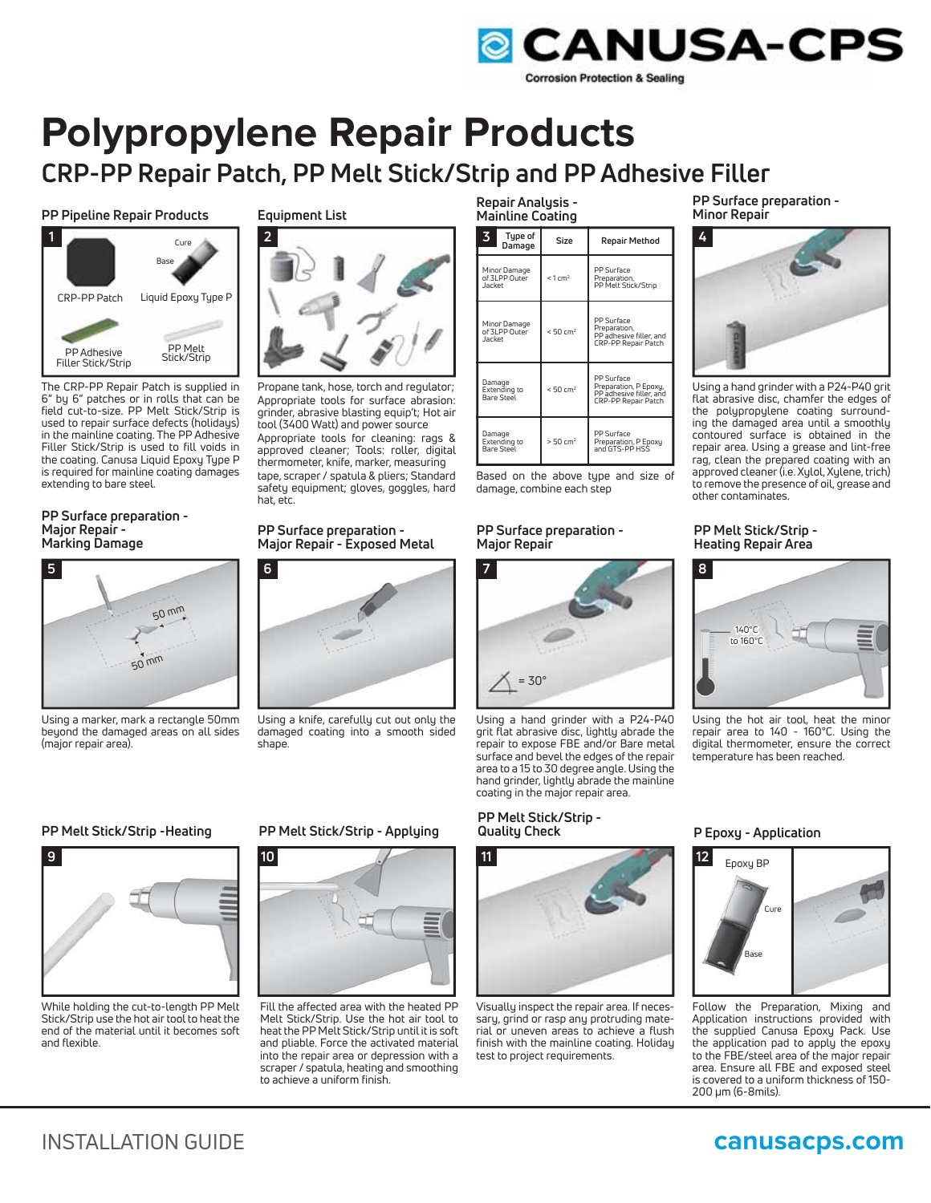

# **Polypropylene Repair Products CRP-PP Repair Patch, PP Melt Stick/Strip and PP Adhesive Filler**

**PP Pipeline Repair Products**



The CRP-PP Repair Patch is supplied in 6" by 6" patches or in rolls that can be field cut-to-size. PP Melt Stick/Strip is used to repair surface defects (holidays) in the mainline coating. The PP Adhesive Filler Stick/Strip is used to fill voids in the coating. Canusa Liquid Epoxy Type P is required for mainline coating damages extending to bare steel.

### **PP Surface preparation - Major Repair - Marking Damage**



Using a marker, mark a rectangle 50mm beyond the damaged areas on all sides (major repair area).

### **Equipment List**



Propane tank, hose, torch and regulator; Appropriate tools for surface abrasion: grinder, abrasive blasting equip't; Hot air tool (3400 Watt) and power source Appropriate tools for cleaning: rags & approved cleaner; Tools: roller, digital thermometer, knife, marker, measuring tape, scraper / spatula & pliers; Standard safety equipment; gloves, goggles, hard hat, etc.

### **PP Surface preparation - Major Repair - Exposed Metal**



Using a knife, carefully cut out only the damaged coating into a smooth sided shape.

### **Repair Analysis - Mainline Coating**

| 3<br>Type of<br>Damage                         | Size                   | Repair Method                                                                         |
|------------------------------------------------|------------------------|---------------------------------------------------------------------------------------|
| Minor Damage<br>of 3LPP Outer<br><b>Jacket</b> | $< 1$ cm <sup>2</sup>  | PP Surface<br>Preparation.<br>PP Melt Stick/Strip                                     |
| Minor Damage<br>of 3LPP Outer<br>Jacket        | < 50 cm <sup>2</sup>   | PP Surface<br>Preparation,<br>PP adhesive filler, and<br>CRP-PP Repair Patch          |
| Damage<br>Extending to<br><b>Bare Steel</b>    | < 50 cm <sup>2</sup>   | PP Surface<br>Preparation, P Epoxy,<br>PP adhesive filler, and<br>CRP-PP Repair Patch |
| Damage<br>Extending to<br>Bare Steel           | $> 50$ cm <sup>2</sup> | PP Surface<br>Preparation, P Epoxy<br>and GTS-PP HSS                                  |

Based on the above type and size of damage, combine each step

### **PP Surface preparation - Major Repair**



Using a hand grinder with a P24-P40 grit flat abrasive disc, lightly abrade the repair to expose FBE and/or Bare metal surface and bevel the edges of the repair area to a 15 to 30 degree angle. Using the hand grinder, lightly abrade the mainline coating in the major repair area.

## **PP Melt Stick/Strip -**



Visually inspect the repair area. If necessary, grind or rasp any protruding material or uneven areas to achieve a flush finish with the mainline coating. Holiday test to project requirements.

**PP Surface preparation - Minor Repair**



Using a hand grinder with a P24-P40 grit flat abrasive disc, chamfer the edges of the polypropylene coating surrounding the damaged area until a smoothly contoured surface is obtained in the repair area. Using a grease and lint-free rag, clean the prepared coating with an approved cleaner (i.e. Xylol, Xylene, trich) to remove the presence of oil, grease and other contaminates.

### **PP Melt Stick/Strip - Heating Repair Area**



Using the hot air tool, heat the minor repair area to 140 - 160°C. Using the digital thermometer, ensure the correct temperature has been reached.

### **Quality Check P Epoxy - Application**



Follow the Preparation, Mixing and Application instructions provided with the supplied Canusa Epoxy Pack. Use the application pad to apply the epoxy to the FBE/steel area of the major repair area. Ensure all FBE and exposed steel is covered to a uniform thickness of 150- 200 μm (6-8mils).

### **PP Melt Stick/Strip -Heating**



While holding the cut-to-length PP Melt Stick/Strip use the hot air tool to heat the end of the material until it becomes soft and flexible.

### **PP Melt Stick/Strip - Applying**



Fill the affected area with the heated PP Melt Stick/Strip. Use the hot air tool to heat the PP Melt Stick/Strip until it is soft and pliable. Force the activated material into the repair area or depression with a scraper / spatula, heating and smoothing to achieve a uniform finish.

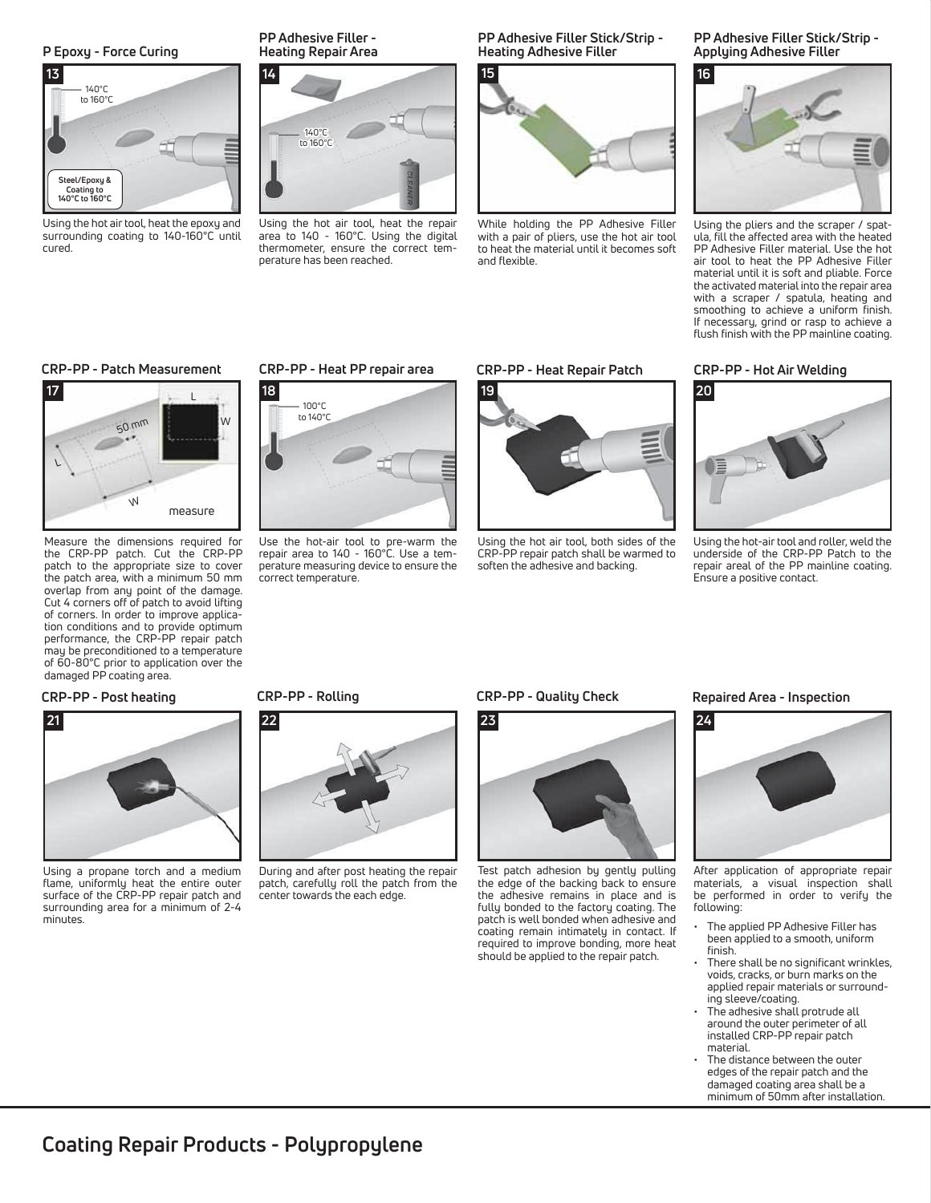### **P Epoxy - Force Curing**



Using the hot air tool, heat the epoxy and surrounding coating to 140-160°C until cured.

### **PP Adhesive Filler - Heating Repair Area**



Using the hot air tool, heat the repair area to 140 - 160°C. Using the digital thermometer, ensure the correct temperature has been reached.

**PP Adhesive Filler Stick/Strip - Heating Adhesive Filler**



While holding the PP Adhesive Filler with a pair of pliers, use the hot air tool to heat the material until it becomes soft and flexible.

**PP Adhesive Filler Stick/Strip - Applying Adhesive Filler**



Using the pliers and the scraper / spatula, fill the affected area with the heated PP Adhesive Filler material. Use the hot air tool to heat the PP Adhesive Filler material until it is soft and pliable. Force the activated material into the repair area with a scraper / spatula, heating and smoothing to achieve a uniform finish. If necessary, grind or rasp to achieve a flush finish with the PP mainline coating.

### **CRP-PP - Patch Measurement CRP-PP - Hot Air Welding**



Measure the dimensions required for the CRP-PP patch. Cut the CRP-PP patch to the appropriate size to cover the patch area, with a minimum 50 mm overlap from any point of the damage. Cut 4 corners off of patch to avoid lifting of corners. In order to improve application conditions and to provide optimum performance, the CRP-PP repair patch may be preconditioned to a temperature of 60-80°C prior to application over the damaged PP coating area.

### **CRP-PP - Post heating**



Using a propane torch and a medium flame, uniformly heat the entire outer surface of the CRP-PP repair patch and surrounding area for a minimum of 2-4 minutes.

### **CRP-PP - Heat PP repair area CRP-PP - Heat Repair Patch**



Use the hot-air tool to pre-warm the repair area to 140 - 160°C. Use a temperature measuring device to ensure the correct temperature.



Using the hot air tool, both sides of the CRP-PP repair patch shall be warmed to soften the adhesive and backing.



Using the hot-air tool and roller, weld the underside of the CRP-PP Patch to the repair areal of the PP mainline coating. Ensure a positive contact.

### **CRP-PP - Rolling**



During and after post heating the repair patch, carefully roll the patch from the center towards the each edge.

### **CRP-PP - Quality Check**



Test patch adhesion by gently pulling the edge of the backing back to ensure the adhesive remains in place and is fully bonded to the factory coating. The patch is well bonded when adhesive and coating remain intimately in contact. If required to improve bonding, more heat should be applied to the repair patch.

### **Repaired Area - Inspection**



After application of appropriate repair materials, a visual inspection shall be performed in order to verify the following:

- The applied PP Adhesive Filler has been applied to a smooth, uniform finish.
- There shall be no significant wrinkles, voids, cracks, or burn marks on the applied repair materials or surrounding sleeve/coating.
- The adhesive shall protrude all around the outer perimeter of all installed CRP-PP repair patch material.
- The distance between the outer edges of the repair patch and the damaged coating area shall be a minimum of 50mm after installation.